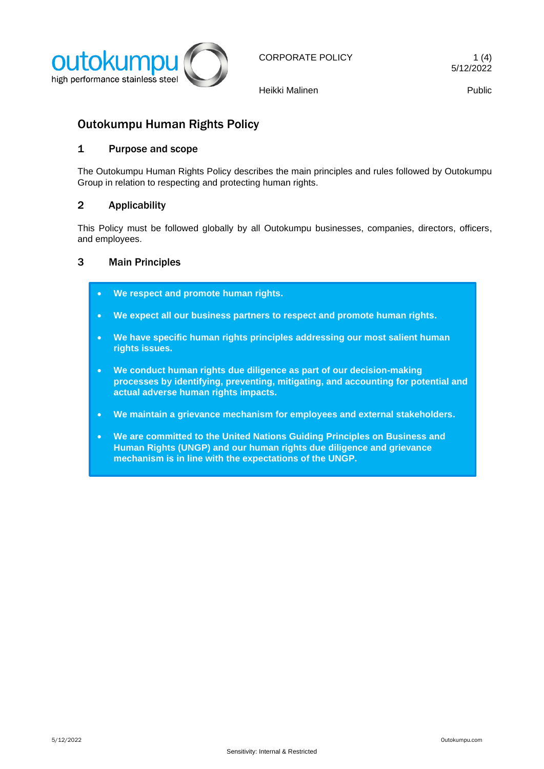

Heikki Malinen **Public** 

# Outokumpu Human Rights Policy

## 1 Purpose and scope

The Outokumpu Human Rights Policy describes the main principles and rules followed by Outokumpu Group in relation to respecting and protecting human rights.

## 2 Applicability

This Policy must be followed globally by all Outokumpu businesses, companies, directors, officers, and employees.

## 3 Main Principles

- **We respect and promote human rights.**
- **We expect all our business partners to respect and promote human rights.**
- **We have specific human rights principles addressing our most salient human rights issues.**
- **We conduct human rights due diligence as part of our decision-making processes by identifying, preventing, mitigating, and accounting for potential and actual adverse human rights impacts.**
- **We maintain a grievance mechanism for employees and external stakeholders.**
- **We are committed to the United Nations Guiding Principles on Business and Human Rights (UNGP) and our human rights due diligence and grievance mechanism is in line with the expectations of the UNGP.**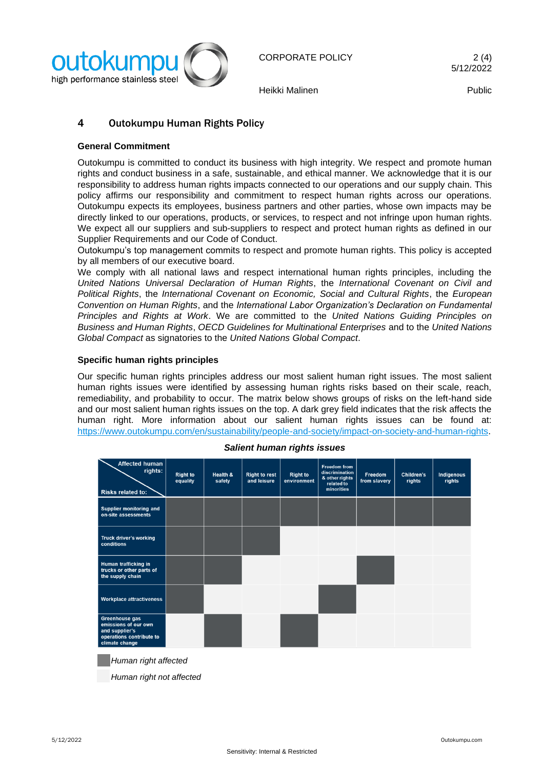

Heikki Malinen Public

## 4 Outokumpu Human Rights Policy

#### **General Commitment**

Outokumpu is committed to conduct its business with high integrity. We respect and promote human rights and conduct business in a safe, sustainable, and ethical manner. We acknowledge that it is our responsibility to address human rights impacts connected to our operations and our supply chain. This policy affirms our responsibility and commitment to respect human rights across our operations. Outokumpu expects its employees, business partners and other parties, whose own impacts may be directly linked to our operations, products, or services, to respect and not infringe upon human rights. We expect all our suppliers and sub-suppliers to respect and protect human rights as defined in our Supplier Requirements and our Code of Conduct.

Outokumpu's top management commits to respect and promote human rights. This policy is accepted by all members of our executive board.

We comply with all national laws and respect international human rights principles, including the *United Nations Universal Declaration of Human Rights*, the *International Covenant on Civil and Political Rights*, the *International Covenant on Economic, Social and Cultural Rights*, the *European Convention on Human Rights*, and the *International Labor Organization's Declaration on Fundamental Principles and Rights at Work*. We are committed to the *United Nations Guiding Principles on Business and Human Rights*, *OECD Guidelines for Multinational Enterprises* and to the *United Nations Global Compact* as signatories to the *United Nations Global Compact*.

#### **Specific human rights principles**

Our specific human rights principles address our most salient human right issues. The most salient human rights issues were identified by assessing human rights risks based on their scale, reach, remediability, and probability to occur. The matrix below shows groups of risks on the left-hand side and our most salient human rights issues on the top. A dark grey field indicates that the risk affects the human right. More information about our salient human rights issues can be found at: [https://www.outokumpu.com/en/sustainability/people-and-society/impact-on-society-and-human-rights.](https://www.outokumpu.com/en/sustainability/people-and-society/impact-on-society-and-human-rights)

| Affected human<br>rights:<br><b>Risks related to:</b>                                                  | <b>Right to</b><br>equality | <b>Health &amp;</b><br>safety | <b>Right to rest</b><br>and leisure | <b>Right to</b><br>environment | <b>Freedom from</b><br>discrimination<br>& other rights<br>related to<br>minorities | Freedom<br>from slavery | Children's<br>rights | <b>Indigenous</b><br>rights |
|--------------------------------------------------------------------------------------------------------|-----------------------------|-------------------------------|-------------------------------------|--------------------------------|-------------------------------------------------------------------------------------|-------------------------|----------------------|-----------------------------|
| <b>Supplier monitoring and</b><br>on-site assessments                                                  |                             |                               |                                     |                                |                                                                                     |                         |                      |                             |
| Truck driver's working<br>conditions                                                                   |                             |                               |                                     |                                |                                                                                     |                         |                      |                             |
| Human trafficking in<br>trucks or other parts of<br>the supply chain                                   |                             |                               |                                     |                                |                                                                                     |                         |                      |                             |
| <b>Workplace attractiveness</b>                                                                        |                             |                               |                                     |                                |                                                                                     |                         |                      |                             |
| Greenhouse gas<br>emissions of our own<br>and supplier's<br>operations contribute to<br>climate change |                             |                               |                                     |                                |                                                                                     |                         |                      |                             |
| ,, ,, ,, ,,                                                                                            |                             |                               |                                     |                                |                                                                                     |                         |                      |                             |

#### *Salient human rights issues*

*Human right affected*

 *Human right not affected*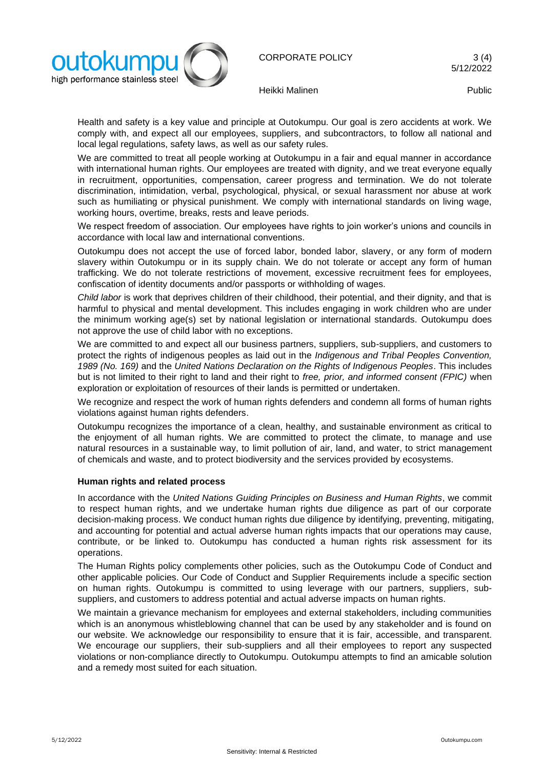

CORPORATE POLICY 3(4)

Heikki Malinen **Public** 

Health and safety is a key value and principle at Outokumpu. Our goal is zero accidents at work. We comply with, and expect all our employees, suppliers, and subcontractors, to follow all national and local legal regulations, safety laws, as well as our safety rules.

We are committed to treat all people working at Outokumpu in a fair and equal manner in accordance with international human rights. Our employees are treated with dignity, and we treat everyone equally in recruitment, opportunities, compensation, career progress and termination. We do not tolerate discrimination, intimidation, verbal, psychological, physical, or sexual harassment nor abuse at work such as humiliating or physical punishment. We comply with international standards on living wage, working hours, overtime, breaks, rests and leave periods.

We respect freedom of association. Our employees have rights to join worker's unions and councils in accordance with local law and international conventions.

Outokumpu does not accept the use of forced labor, bonded labor, slavery, or any form of modern slavery within Outokumpu or in its supply chain. We do not tolerate or accept any form of human trafficking. We do not tolerate restrictions of movement, excessive recruitment fees for employees, confiscation of identity documents and/or passports or withholding of wages.

*Child labor* is work that deprives children of their childhood, their potential, and their dignity, and that is harmful to physical and mental development. This includes engaging in work children who are under the minimum working age(s) set by national legislation or international standards. Outokumpu does not approve the use of child labor with no exceptions.

We are committed to and expect all our business partners, suppliers, sub-suppliers, and customers to protect the rights of indigenous peoples as laid out in the *Indigenous and Tribal Peoples Convention, 1989 (No. 169)* and the *United Nations Declaration on the Rights of Indigenous Peoples*. This includes but is not limited to their right to land and their right to *free, prior, and informed consent (FPIC)* when exploration or exploitation of resources of their lands is permitted or undertaken.

We recognize and respect the work of human rights defenders and condemn all forms of human rights violations against human rights defenders.

Outokumpu recognizes the importance of a clean, healthy, and sustainable environment as critical to the enjoyment of all human rights. We are committed to protect the climate, to manage and use natural resources in a sustainable way, to limit pollution of air, land, and water, to strict management of chemicals and waste, and to protect biodiversity and the services provided by ecosystems.

### **Human rights and related process**

In accordance with the *United Nations Guiding Principles on Business and Human Rights*, we commit to respect human rights, and we undertake human rights due diligence as part of our corporate decision-making process. We conduct human rights due diligence by identifying, preventing, mitigating, and accounting for potential and actual adverse human rights impacts that our operations may cause, contribute, or be linked to. Outokumpu has conducted a human rights risk assessment for its operations.

The Human Rights policy complements other policies, such as the Outokumpu Code of Conduct and other applicable policies. Our Code of Conduct and Supplier Requirements include a specific section on human rights. Outokumpu is committed to using leverage with our partners, suppliers, subsuppliers, and customers to address potential and actual adverse impacts on human rights.

We maintain a grievance mechanism for employees and external stakeholders, including communities which is an anonymous whistleblowing channel that can be used by any stakeholder and is found on our website. We acknowledge our responsibility to ensure that it is fair, accessible, and transparent. We encourage our suppliers, their sub-suppliers and all their employees to report any suspected violations or non-compliance directly to Outokumpu. Outokumpu attempts to find an amicable solution and a remedy most suited for each situation.